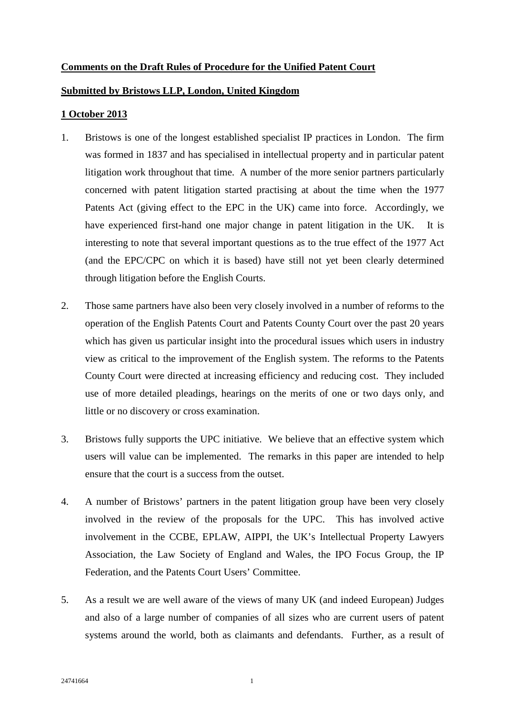# **Comments on the Draft Rules of Procedure for the Unified Patent Court**

## **Submitted by Bristows LLP, London, United Kingdom**

# **1 October 2013**

- 1. Bristows is one of the longest established specialist IP practices in London. The firm was formed in 1837 and has specialised in intellectual property and in particular patent litigation work throughout that time. A number of the more senior partners particularly concerned with patent litigation started practising at about the time when the 1977 Patents Act (giving effect to the EPC in the UK) came into force. Accordingly, we have experienced first-hand one major change in patent litigation in the UK. It is interesting to note that several important questions as to the true effect of the 1977 Act (and the EPC/CPC on which it is based) have still not yet been clearly determined through litigation before the English Courts.
- 2. Those same partners have also been very closely involved in a number of reforms to the operation of the English Patents Court and Patents County Court over the past 20 years which has given us particular insight into the procedural issues which users in industry view as critical to the improvement of the English system. The reforms to the Patents County Court were directed at increasing efficiency and reducing cost. They included use of more detailed pleadings, hearings on the merits of one or two days only, and little or no discovery or cross examination.
- 3. Bristows fully supports the UPC initiative. We believe that an effective system which users will value can be implemented. The remarks in this paper are intended to help ensure that the court is a success from the outset.
- 4. A number of Bristows' partners in the patent litigation group have been very closely involved in the review of the proposals for the UPC. This has involved active involvement in the CCBE, EPLAW, AIPPI, the UK's Intellectual Property Lawyers Association, the Law Society of England and Wales, the IPO Focus Group, the IP Federation, and the Patents Court Users' Committee.
- 5. As a result we are well aware of the views of many UK (and indeed European) Judges and also of a large number of companies of all sizes who are current users of patent systems around the world, both as claimants and defendants. Further, as a result of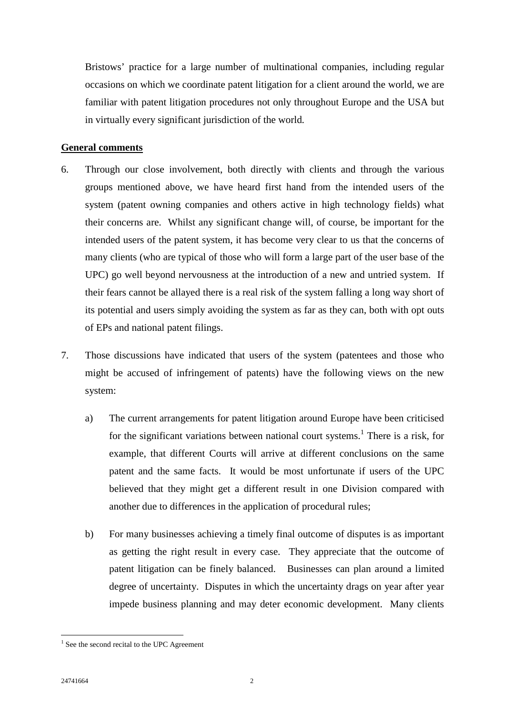Bristows' practice for a large number of multinational companies, including regular occasions on which we coordinate patent litigation for a client around the world, we are familiar with patent litigation procedures not only throughout Europe and the USA but in virtually every significant jurisdiction of the world*.*

# **General comments**

- 6. Through our close involvement, both directly with clients and through the various groups mentioned above, we have heard first hand from the intended users of the system (patent owning companies and others active in high technology fields) what their concerns are. Whilst any significant change will, of course, be important for the intended users of the patent system, it has become very clear to us that the concerns of many clients (who are typical of those who will form a large part of the user base of the UPC) go well beyond nervousness at the introduction of a new and untried system. If their fears cannot be allayed there is a real risk of the system falling a long way short of its potential and users simply avoiding the system as far as they can, both with opt outs of EPs and national patent filings.
- 7. Those discussions have indicated that users of the system (patentees and those who might be accused of infringement of patents) have the following views on the new system:
	- a) The current arrangements for patent litigation around Europe have been criticised for the significant variations between national court systems.<sup>[1](#page-1-0)</sup> There is a risk, for example, that different Courts will arrive at different conclusions on the same patent and the same facts. It would be most unfortunate if users of the UPC believed that they might get a different result in one Division compared with another due to differences in the application of procedural rules;
	- b) For many businesses achieving a timely final outcome of disputes is as important as getting the right result in every case. They appreciate that the outcome of patent litigation can be finely balanced. Businesses can plan around a limited degree of uncertainty. Disputes in which the uncertainty drags on year after year impede business planning and may deter economic development. Many clients

<span id="page-1-0"></span> $<sup>1</sup>$  See the second recital to the UPC Agreement</sup>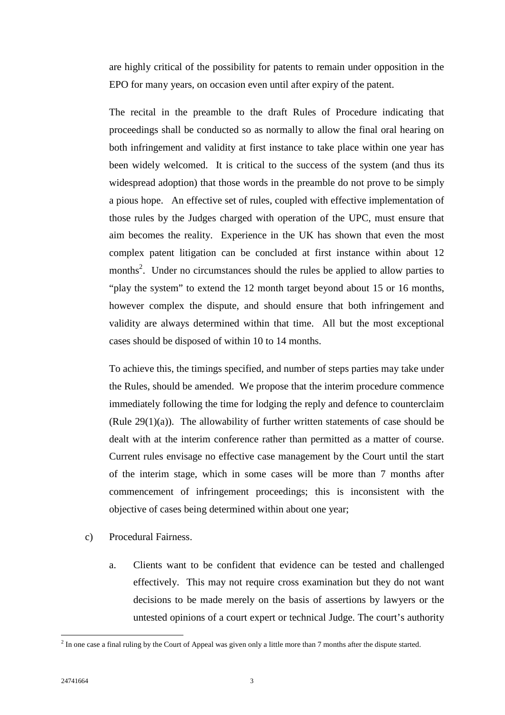are highly critical of the possibility for patents to remain under opposition in the EPO for many years, on occasion even until after expiry of the patent.

The recital in the preamble to the draft Rules of Procedure indicating that proceedings shall be conducted so as normally to allow the final oral hearing on both infringement and validity at first instance to take place within one year has been widely welcomed. It is critical to the success of the system (and thus its widespread adoption) that those words in the preamble do not prove to be simply a pious hope. An effective set of rules, coupled with effective implementation of those rules by the Judges charged with operation of the UPC, must ensure that aim becomes the reality. Experience in the UK has shown that even the most complex patent litigation can be concluded at first instance within about 12 months<sup>2</sup>[.](#page-2-0) Under no circumstances should the rules be applied to allow parties to "play the system" to extend the 12 month target beyond about 15 or 16 months, however complex the dispute, and should ensure that both infringement and validity are always determined within that time. All but the most exceptional cases should be disposed of within 10 to 14 months.

To achieve this, the timings specified, and number of steps parties may take under the Rules, should be amended. We propose that the interim procedure commence immediately following the time for lodging the reply and defence to counterclaim (Rule  $29(1)(a)$ ). The allowability of further written statements of case should be dealt with at the interim conference rather than permitted as a matter of course. Current rules envisage no effective case management by the Court until the start of the interim stage, which in some cases will be more than 7 months after commencement of infringement proceedings; this is inconsistent with the objective of cases being determined within about one year;

- c) Procedural Fairness.
	- a. Clients want to be confident that evidence can be tested and challenged effectively. This may not require cross examination but they do not want decisions to be made merely on the basis of assertions by lawyers or the untested opinions of a court expert or technical Judge. The court's authority

<span id="page-2-0"></span> $<sup>2</sup>$  In one case a final ruling by the Court of Appeal was given only a little more than 7 months after the dispute started.</sup>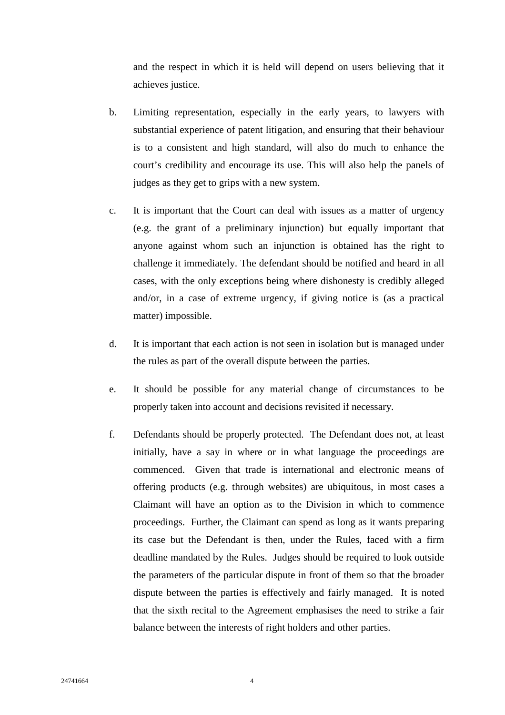and the respect in which it is held will depend on users believing that it achieves justice.

- b. Limiting representation, especially in the early years, to lawyers with substantial experience of patent litigation, and ensuring that their behaviour is to a consistent and high standard, will also do much to enhance the court's credibility and encourage its use. This will also help the panels of judges as they get to grips with a new system.
- c. It is important that the Court can deal with issues as a matter of urgency (e.g. the grant of a preliminary injunction) but equally important that anyone against whom such an injunction is obtained has the right to challenge it immediately. The defendant should be notified and heard in all cases, with the only exceptions being where dishonesty is credibly alleged and/or, in a case of extreme urgency, if giving notice is (as a practical matter) impossible.
- d. It is important that each action is not seen in isolation but is managed under the rules as part of the overall dispute between the parties.
- e. It should be possible for any material change of circumstances to be properly taken into account and decisions revisited if necessary.
- f. Defendants should be properly protected. The Defendant does not, at least initially, have a say in where or in what language the proceedings are commenced. Given that trade is international and electronic means of offering products (e.g. through websites) are ubiquitous, in most cases a Claimant will have an option as to the Division in which to commence proceedings. Further, the Claimant can spend as long as it wants preparing its case but the Defendant is then, under the Rules, faced with a firm deadline mandated by the Rules. Judges should be required to look outside the parameters of the particular dispute in front of them so that the broader dispute between the parties is effectively and fairly managed. It is noted that the sixth recital to the Agreement emphasises the need to strike a fair balance between the interests of right holders and other parties.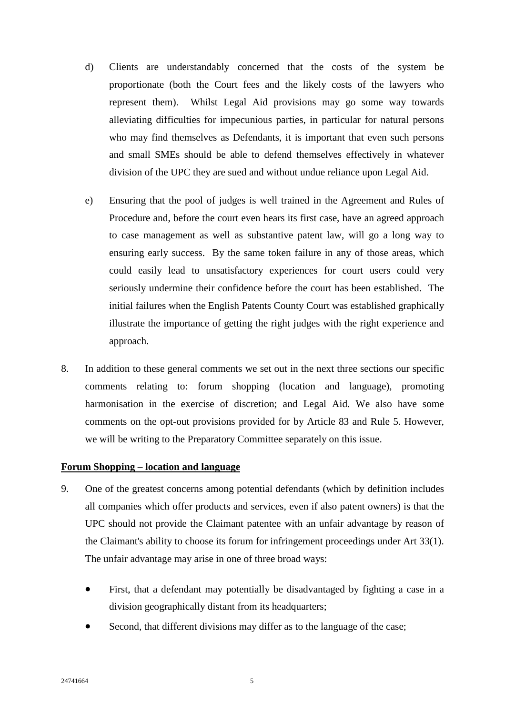- d) Clients are understandably concerned that the costs of the system be proportionate (both the Court fees and the likely costs of the lawyers who represent them). Whilst Legal Aid provisions may go some way towards alleviating difficulties for impecunious parties, in particular for natural persons who may find themselves as Defendants, it is important that even such persons and small SMEs should be able to defend themselves effectively in whatever division of the UPC they are sued and without undue reliance upon Legal Aid.
- e) Ensuring that the pool of judges is well trained in the Agreement and Rules of Procedure and, before the court even hears its first case, have an agreed approach to case management as well as substantive patent law, will go a long way to ensuring early success. By the same token failure in any of those areas, which could easily lead to unsatisfactory experiences for court users could very seriously undermine their confidence before the court has been established. The initial failures when the English Patents County Court was established graphically illustrate the importance of getting the right judges with the right experience and approach.
- 8. In addition to these general comments we set out in the next three sections our specific comments relating to: forum shopping (location and language), promoting harmonisation in the exercise of discretion; and Legal Aid. We also have some comments on the opt-out provisions provided for by Article 83 and Rule 5. However, we will be writing to the Preparatory Committee separately on this issue.

## **Forum Shopping – location and language**

- 9. One of the greatest concerns among potential defendants (which by definition includes all companies which offer products and services, even if also patent owners) is that the UPC should not provide the Claimant patentee with an unfair advantage by reason of the Claimant's ability to choose its forum for infringement proceedings under Art 33(1). The unfair advantage may arise in one of three broad ways:
	- First, that a defendant may potentially be disadvantaged by fighting a case in a division geographically distant from its headquarters;
	- Second, that different divisions may differ as to the language of the case;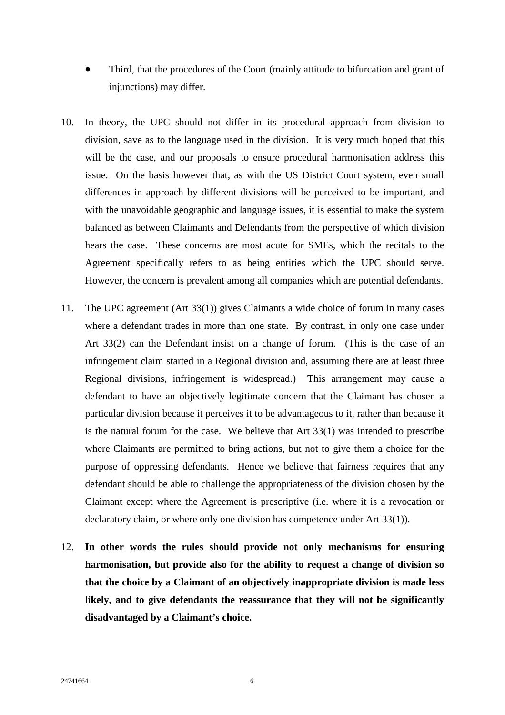- Third, that the procedures of the Court (mainly attitude to bifurcation and grant of injunctions) may differ.
- 10. In theory, the UPC should not differ in its procedural approach from division to division, save as to the language used in the division. It is very much hoped that this will be the case, and our proposals to ensure procedural harmonisation address this issue. On the basis however that, as with the US District Court system, even small differences in approach by different divisions will be perceived to be important, and with the unavoidable geographic and language issues, it is essential to make the system balanced as between Claimants and Defendants from the perspective of which division hears the case. These concerns are most acute for SMEs, which the recitals to the Agreement specifically refers to as being entities which the UPC should serve. However, the concern is prevalent among all companies which are potential defendants.
- 11. The UPC agreement (Art 33(1)) gives Claimants a wide choice of forum in many cases where a defendant trades in more than one state. By contrast, in only one case under Art 33(2) can the Defendant insist on a change of forum. (This is the case of an infringement claim started in a Regional division and, assuming there are at least three Regional divisions, infringement is widespread.) This arrangement may cause a defendant to have an objectively legitimate concern that the Claimant has chosen a particular division because it perceives it to be advantageous to it, rather than because it is the natural forum for the case. We believe that Art 33(1) was intended to prescribe where Claimants are permitted to bring actions, but not to give them a choice for the purpose of oppressing defendants. Hence we believe that fairness requires that any defendant should be able to challenge the appropriateness of the division chosen by the Claimant except where the Agreement is prescriptive (i.e. where it is a revocation or declaratory claim, or where only one division has competence under Art 33(1)).
- 12. **In other words the rules should provide not only mechanisms for ensuring harmonisation, but provide also for the ability to request a change of division so that the choice by a Claimant of an objectively inappropriate division is made less likely, and to give defendants the reassurance that they will not be significantly disadvantaged by a Claimant's choice.**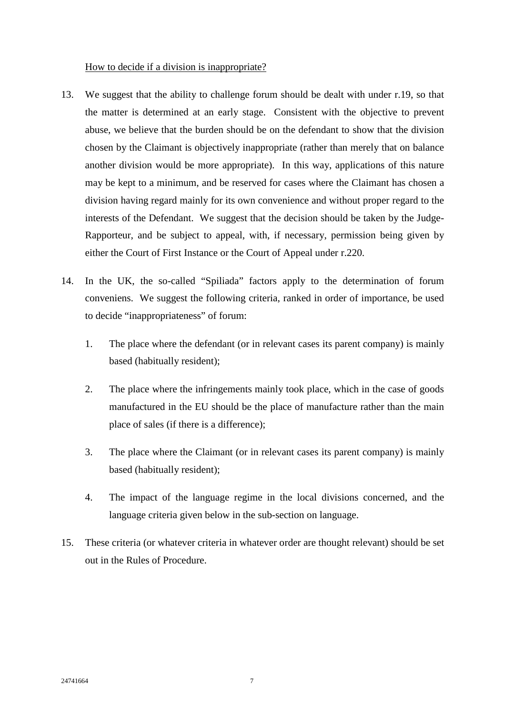## How to decide if a division is inappropriate?

- 13. We suggest that the ability to challenge forum should be dealt with under r.19, so that the matter is determined at an early stage. Consistent with the objective to prevent abuse, we believe that the burden should be on the defendant to show that the division chosen by the Claimant is objectively inappropriate (rather than merely that on balance another division would be more appropriate). In this way, applications of this nature may be kept to a minimum, and be reserved for cases where the Claimant has chosen a division having regard mainly for its own convenience and without proper regard to the interests of the Defendant. We suggest that the decision should be taken by the Judge-Rapporteur, and be subject to appeal, with, if necessary, permission being given by either the Court of First Instance or the Court of Appeal under r.220.
- 14. In the UK, the so-called "Spiliada" factors apply to the determination of forum conveniens. We suggest the following criteria, ranked in order of importance, be used to decide "inappropriateness" of forum:
	- 1. The place where the defendant (or in relevant cases its parent company) is mainly based (habitually resident);
	- 2. The place where the infringements mainly took place, which in the case of goods manufactured in the EU should be the place of manufacture rather than the main place of sales (if there is a difference);
	- 3. The place where the Claimant (or in relevant cases its parent company) is mainly based (habitually resident);
	- 4. The impact of the language regime in the local divisions concerned, and the language criteria given below in the sub-section on language.
- 15. These criteria (or whatever criteria in whatever order are thought relevant) should be set out in the Rules of Procedure.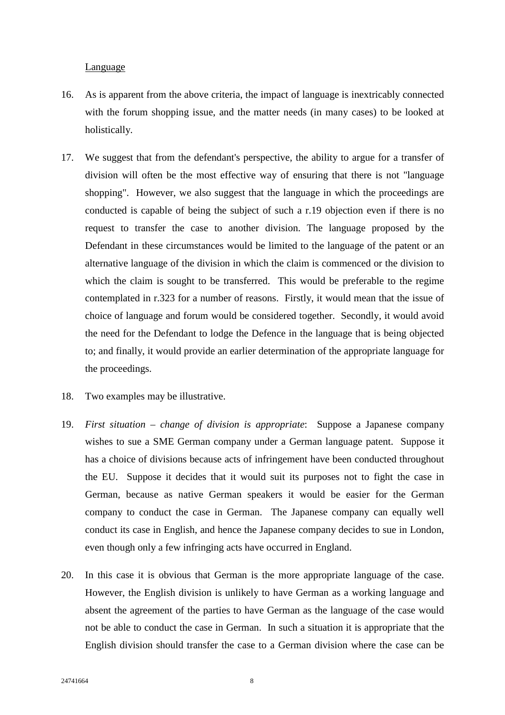### Language

- 16. As is apparent from the above criteria, the impact of language is inextricably connected with the forum shopping issue, and the matter needs (in many cases) to be looked at holistically.
- 17. We suggest that from the defendant's perspective, the ability to argue for a transfer of division will often be the most effective way of ensuring that there is not "language shopping". However, we also suggest that the language in which the proceedings are conducted is capable of being the subject of such a r.19 objection even if there is no request to transfer the case to another division. The language proposed by the Defendant in these circumstances would be limited to the language of the patent or an alternative language of the division in which the claim is commenced or the division to which the claim is sought to be transferred. This would be preferable to the regime contemplated in r.323 for a number of reasons. Firstly, it would mean that the issue of choice of language and forum would be considered together. Secondly, it would avoid the need for the Defendant to lodge the Defence in the language that is being objected to; and finally, it would provide an earlier determination of the appropriate language for the proceedings.
- 18. Two examples may be illustrative.
- 19. *First situation change of division is appropriate*: Suppose a Japanese company wishes to sue a SME German company under a German language patent. Suppose it has a choice of divisions because acts of infringement have been conducted throughout the EU. Suppose it decides that it would suit its purposes not to fight the case in German, because as native German speakers it would be easier for the German company to conduct the case in German. The Japanese company can equally well conduct its case in English, and hence the Japanese company decides to sue in London, even though only a few infringing acts have occurred in England.
- 20. In this case it is obvious that German is the more appropriate language of the case. However, the English division is unlikely to have German as a working language and absent the agreement of the parties to have German as the language of the case would not be able to conduct the case in German. In such a situation it is appropriate that the English division should transfer the case to a German division where the case can be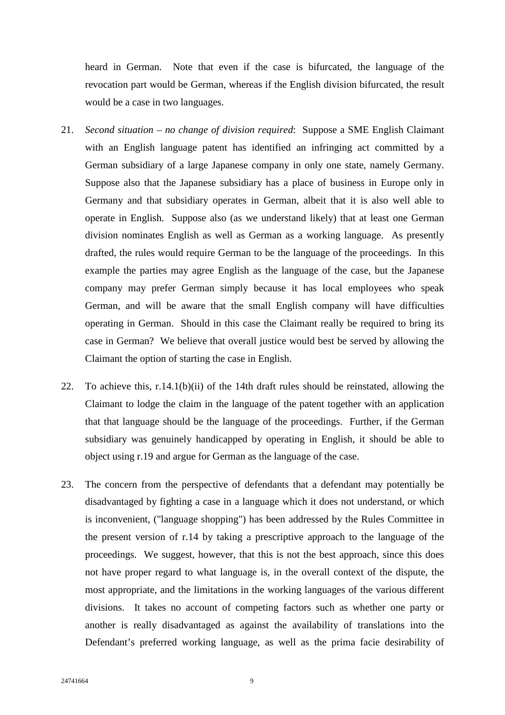heard in German. Note that even if the case is bifurcated, the language of the revocation part would be German, whereas if the English division bifurcated, the result would be a case in two languages.

- 21. *Second situation no change of division required*: Suppose a SME English Claimant with an English language patent has identified an infringing act committed by a German subsidiary of a large Japanese company in only one state, namely Germany. Suppose also that the Japanese subsidiary has a place of business in Europe only in Germany and that subsidiary operates in German, albeit that it is also well able to operate in English. Suppose also (as we understand likely) that at least one German division nominates English as well as German as a working language. As presently drafted, the rules would require German to be the language of the proceedings. In this example the parties may agree English as the language of the case, but the Japanese company may prefer German simply because it has local employees who speak German, and will be aware that the small English company will have difficulties operating in German. Should in this case the Claimant really be required to bring its case in German? We believe that overall justice would best be served by allowing the Claimant the option of starting the case in English.
- 22. To achieve this, r.14.1(b)(ii) of the 14th draft rules should be reinstated, allowing the Claimant to lodge the claim in the language of the patent together with an application that that language should be the language of the proceedings. Further, if the German subsidiary was genuinely handicapped by operating in English, it should be able to object using r.19 and argue for German as the language of the case.
- 23. The concern from the perspective of defendants that a defendant may potentially be disadvantaged by fighting a case in a language which it does not understand, or which is inconvenient, ("language shopping") has been addressed by the Rules Committee in the present version of r.14 by taking a prescriptive approach to the language of the proceedings. We suggest, however, that this is not the best approach, since this does not have proper regard to what language is, in the overall context of the dispute, the most appropriate, and the limitations in the working languages of the various different divisions. It takes no account of competing factors such as whether one party or another is really disadvantaged as against the availability of translations into the Defendant's preferred working language, as well as the prima facie desirability of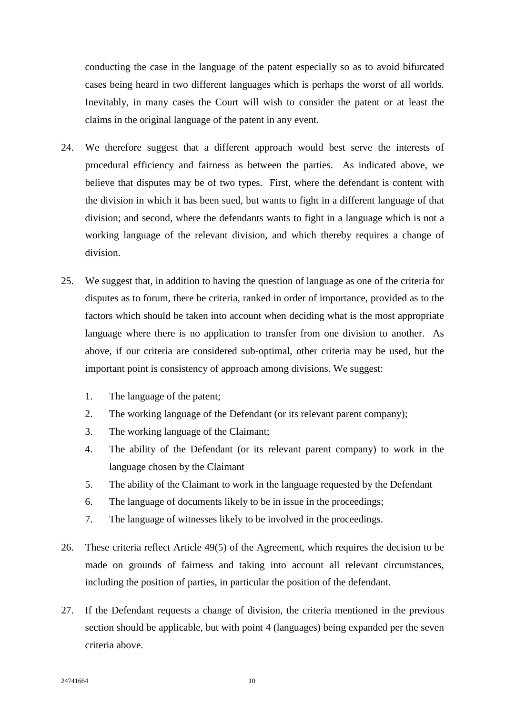conducting the case in the language of the patent especially so as to avoid bifurcated cases being heard in two different languages which is perhaps the worst of all worlds. Inevitably, in many cases the Court will wish to consider the patent or at least the claims in the original language of the patent in any event.

- 24. We therefore suggest that a different approach would best serve the interests of procedural efficiency and fairness as between the parties. As indicated above, we believe that disputes may be of two types. First, where the defendant is content with the division in which it has been sued, but wants to fight in a different language of that division; and second, where the defendants wants to fight in a language which is not a working language of the relevant division, and which thereby requires a change of division.
- 25. We suggest that, in addition to having the question of language as one of the criteria for disputes as to forum, there be criteria, ranked in order of importance, provided as to the factors which should be taken into account when deciding what is the most appropriate language where there is no application to transfer from one division to another. As above, if our criteria are considered sub-optimal, other criteria may be used, but the important point is consistency of approach among divisions. We suggest:
	- 1. The language of the patent;
	- 2. The working language of the Defendant (or its relevant parent company);
	- 3. The working language of the Claimant;
	- 4. The ability of the Defendant (or its relevant parent company) to work in the language chosen by the Claimant
	- 5. The ability of the Claimant to work in the language requested by the Defendant
	- 6. The language of documents likely to be in issue in the proceedings;
	- 7. The language of witnesses likely to be involved in the proceedings.
- 26. These criteria reflect Article 49(5) of the Agreement, which requires the decision to be made on grounds of fairness and taking into account all relevant circumstances, including the position of parties, in particular the position of the defendant.
- 27. If the Defendant requests a change of division, the criteria mentioned in the previous section should be applicable, but with point 4 (languages) being expanded per the seven criteria above.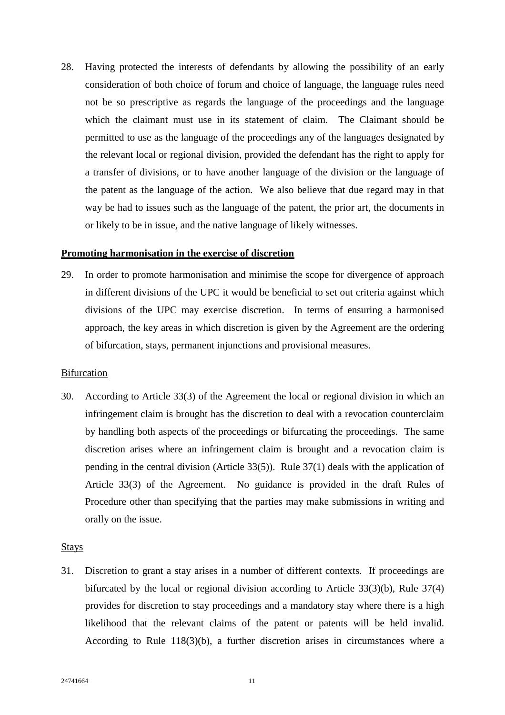28. Having protected the interests of defendants by allowing the possibility of an early consideration of both choice of forum and choice of language, the language rules need not be so prescriptive as regards the language of the proceedings and the language which the claimant must use in its statement of claim. The Claimant should be permitted to use as the language of the proceedings any of the languages designated by the relevant local or regional division, provided the defendant has the right to apply for a transfer of divisions, or to have another language of the division or the language of the patent as the language of the action. We also believe that due regard may in that way be had to issues such as the language of the patent, the prior art, the documents in or likely to be in issue, and the native language of likely witnesses.

### **Promoting harmonisation in the exercise of discretion**

29. In order to promote harmonisation and minimise the scope for divergence of approach in different divisions of the UPC it would be beneficial to set out criteria against which divisions of the UPC may exercise discretion. In terms of ensuring a harmonised approach, the key areas in which discretion is given by the Agreement are the ordering of bifurcation, stays, permanent injunctions and provisional measures.

#### **Bifurcation**

30. According to Article 33(3) of the Agreement the local or regional division in which an infringement claim is brought has the discretion to deal with a revocation counterclaim by handling both aspects of the proceedings or bifurcating the proceedings. The same discretion arises where an infringement claim is brought and a revocation claim is pending in the central division (Article 33(5)). Rule 37(1) deals with the application of Article 33(3) of the Agreement. No guidance is provided in the draft Rules of Procedure other than specifying that the parties may make submissions in writing and orally on the issue.

#### Stays

31. Discretion to grant a stay arises in a number of different contexts. If proceedings are bifurcated by the local or regional division according to Article 33(3)(b), Rule 37(4) provides for discretion to stay proceedings and a mandatory stay where there is a high likelihood that the relevant claims of the patent or patents will be held invalid. According to Rule 118(3)(b), a further discretion arises in circumstances where a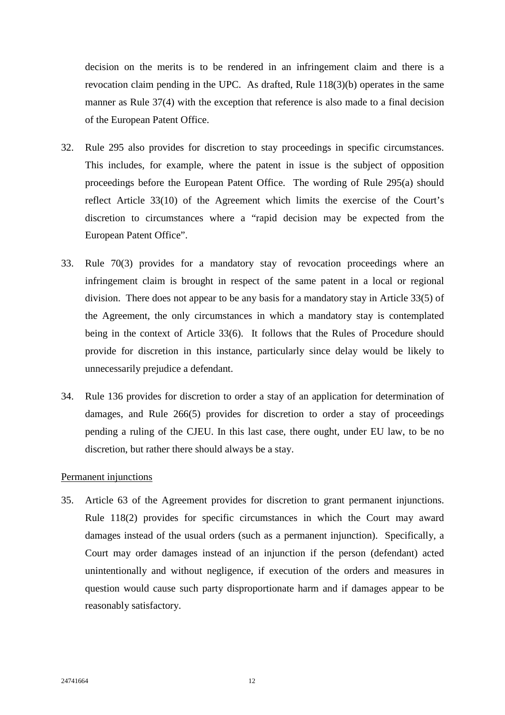decision on the merits is to be rendered in an infringement claim and there is a revocation claim pending in the UPC. As drafted, Rule 118(3)(b) operates in the same manner as Rule 37(4) with the exception that reference is also made to a final decision of the European Patent Office.

- 32. Rule 295 also provides for discretion to stay proceedings in specific circumstances. This includes, for example, where the patent in issue is the subject of opposition proceedings before the European Patent Office. The wording of Rule 295(a) should reflect Article 33(10) of the Agreement which limits the exercise of the Court's discretion to circumstances where a "rapid decision may be expected from the European Patent Office".
- 33. Rule 70(3) provides for a mandatory stay of revocation proceedings where an infringement claim is brought in respect of the same patent in a local or regional division. There does not appear to be any basis for a mandatory stay in Article 33(5) of the Agreement, the only circumstances in which a mandatory stay is contemplated being in the context of Article 33(6). It follows that the Rules of Procedure should provide for discretion in this instance, particularly since delay would be likely to unnecessarily prejudice a defendant.
- 34. Rule 136 provides for discretion to order a stay of an application for determination of damages, and Rule 266(5) provides for discretion to order a stay of proceedings pending a ruling of the CJEU. In this last case, there ought, under EU law, to be no discretion, but rather there should always be a stay.

#### Permanent injunctions

35. Article 63 of the Agreement provides for discretion to grant permanent injunctions. Rule 118(2) provides for specific circumstances in which the Court may award damages instead of the usual orders (such as a permanent injunction). Specifically, a Court may order damages instead of an injunction if the person (defendant) acted unintentionally and without negligence, if execution of the orders and measures in question would cause such party disproportionate harm and if damages appear to be reasonably satisfactory.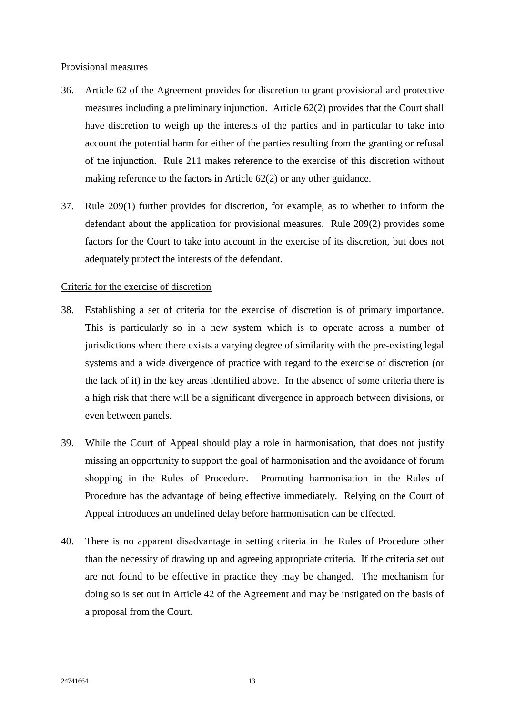### Provisional measures

- 36. Article 62 of the Agreement provides for discretion to grant provisional and protective measures including a preliminary injunction. Article 62(2) provides that the Court shall have discretion to weigh up the interests of the parties and in particular to take into account the potential harm for either of the parties resulting from the granting or refusal of the injunction. Rule 211 makes reference to the exercise of this discretion without making reference to the factors in Article 62(2) or any other guidance.
- 37. Rule 209(1) further provides for discretion, for example, as to whether to inform the defendant about the application for provisional measures. Rule 209(2) provides some factors for the Court to take into account in the exercise of its discretion, but does not adequately protect the interests of the defendant.

## Criteria for the exercise of discretion

- 38. Establishing a set of criteria for the exercise of discretion is of primary importance. This is particularly so in a new system which is to operate across a number of jurisdictions where there exists a varying degree of similarity with the pre-existing legal systems and a wide divergence of practice with regard to the exercise of discretion (or the lack of it) in the key areas identified above. In the absence of some criteria there is a high risk that there will be a significant divergence in approach between divisions, or even between panels.
- 39. While the Court of Appeal should play a role in harmonisation, that does not justify missing an opportunity to support the goal of harmonisation and the avoidance of forum shopping in the Rules of Procedure. Promoting harmonisation in the Rules of Procedure has the advantage of being effective immediately. Relying on the Court of Appeal introduces an undefined delay before harmonisation can be effected.
- 40. There is no apparent disadvantage in setting criteria in the Rules of Procedure other than the necessity of drawing up and agreeing appropriate criteria. If the criteria set out are not found to be effective in practice they may be changed. The mechanism for doing so is set out in Article 42 of the Agreement and may be instigated on the basis of a proposal from the Court.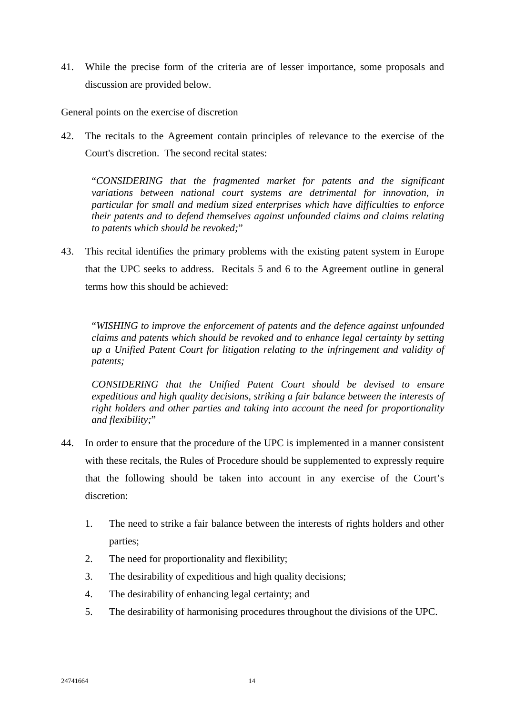41. While the precise form of the criteria are of lesser importance, some proposals and discussion are provided below.

## General points on the exercise of discretion

42. The recitals to the Agreement contain principles of relevance to the exercise of the Court's discretion. The second recital states:

"*CONSIDERING that the fragmented market for patents and the significant variations between national court systems are detrimental for innovation, in particular for small and medium sized enterprises which have difficulties to enforce their patents and to defend themselves against unfounded claims and claims relating to patents which should be revoked;*"

43. This recital identifies the primary problems with the existing patent system in Europe that the UPC seeks to address. Recitals 5 and 6 to the Agreement outline in general terms how this should be achieved:

"*WISHING to improve the enforcement of patents and the defence against unfounded claims and patents which should be revoked and to enhance legal certainty by setting up a Unified Patent Court for litigation relating to the infringement and validity of patents;*

*CONSIDERING that the Unified Patent Court should be devised to ensure expeditious and high quality decisions, striking a fair balance between the interests of right holders and other parties and taking into account the need for proportionality and flexibility;*"

- 44. In order to ensure that the procedure of the UPC is implemented in a manner consistent with these recitals, the Rules of Procedure should be supplemented to expressly require that the following should be taken into account in any exercise of the Court's discretion:
	- 1. The need to strike a fair balance between the interests of rights holders and other parties;
	- 2. The need for proportionality and flexibility;
	- 3. The desirability of expeditious and high quality decisions;
	- 4. The desirability of enhancing legal certainty; and
	- 5. The desirability of harmonising procedures throughout the divisions of the UPC.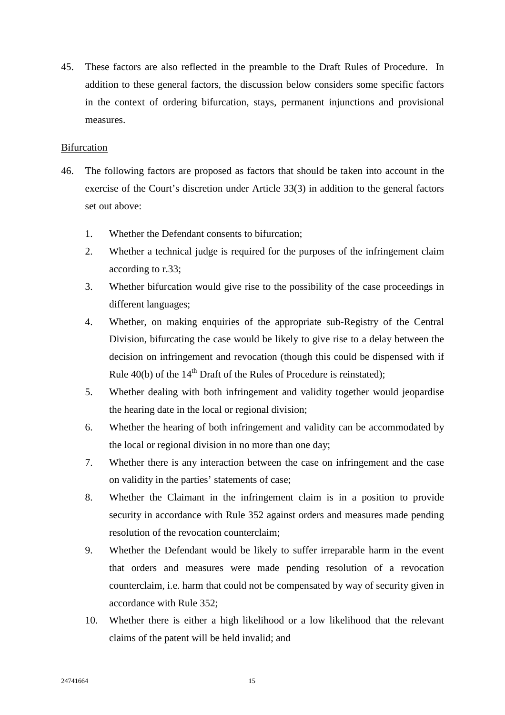45. These factors are also reflected in the preamble to the Draft Rules of Procedure. In addition to these general factors, the discussion below considers some specific factors in the context of ordering bifurcation, stays, permanent injunctions and provisional measures.

## **Bifurcation**

- 46. The following factors are proposed as factors that should be taken into account in the exercise of the Court's discretion under Article 33(3) in addition to the general factors set out above:
	- 1. Whether the Defendant consents to bifurcation;
	- 2. Whether a technical judge is required for the purposes of the infringement claim according to r.33;
	- 3. Whether bifurcation would give rise to the possibility of the case proceedings in different languages;
	- 4. Whether, on making enquiries of the appropriate sub-Registry of the Central Division, bifurcating the case would be likely to give rise to a delay between the decision on infringement and revocation (though this could be dispensed with if Rule  $40(b)$  of the  $14<sup>th</sup>$  Draft of the Rules of Procedure is reinstated);
	- 5. Whether dealing with both infringement and validity together would jeopardise the hearing date in the local or regional division;
	- 6. Whether the hearing of both infringement and validity can be accommodated by the local or regional division in no more than one day;
	- 7. Whether there is any interaction between the case on infringement and the case on validity in the parties' statements of case;
	- 8. Whether the Claimant in the infringement claim is in a position to provide security in accordance with Rule 352 against orders and measures made pending resolution of the revocation counterclaim;
	- 9. Whether the Defendant would be likely to suffer irreparable harm in the event that orders and measures were made pending resolution of a revocation counterclaim, i.e. harm that could not be compensated by way of security given in accordance with Rule 352;
	- 10. Whether there is either a high likelihood or a low likelihood that the relevant claims of the patent will be held invalid; and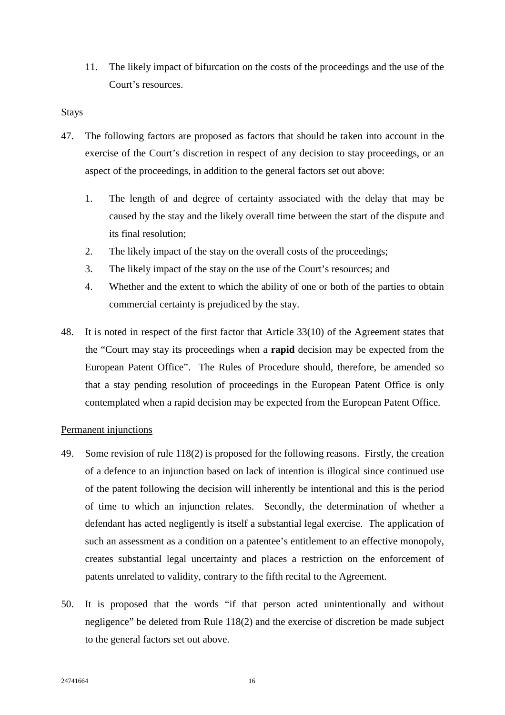11. The likely impact of bifurcation on the costs of the proceedings and the use of the Court's resources.

### Stays

- 47. The following factors are proposed as factors that should be taken into account in the exercise of the Court's discretion in respect of any decision to stay proceedings, or an aspect of the proceedings, in addition to the general factors set out above:
	- 1. The length of and degree of certainty associated with the delay that may be caused by the stay and the likely overall time between the start of the dispute and its final resolution;
	- 2. The likely impact of the stay on the overall costs of the proceedings;
	- 3. The likely impact of the stay on the use of the Court's resources; and
	- 4. Whether and the extent to which the ability of one or both of the parties to obtain commercial certainty is prejudiced by the stay.
- 48. It is noted in respect of the first factor that Article 33(10) of the Agreement states that the "Court may stay its proceedings when a **rapid** decision may be expected from the European Patent Office". The Rules of Procedure should, therefore, be amended so that a stay pending resolution of proceedings in the European Patent Office is only contemplated when a rapid decision may be expected from the European Patent Office.

## Permanent injunctions

- 49. Some revision of rule 118(2) is proposed for the following reasons. Firstly, the creation of a defence to an injunction based on lack of intention is illogical since continued use of the patent following the decision will inherently be intentional and this is the period of time to which an injunction relates. Secondly, the determination of whether a defendant has acted negligently is itself a substantial legal exercise. The application of such an assessment as a condition on a patentee's entitlement to an effective monopoly, creates substantial legal uncertainty and places a restriction on the enforcement of patents unrelated to validity, contrary to the fifth recital to the Agreement.
- 50. It is proposed that the words "if that person acted unintentionally and without negligence" be deleted from Rule 118(2) and the exercise of discretion be made subject to the general factors set out above.